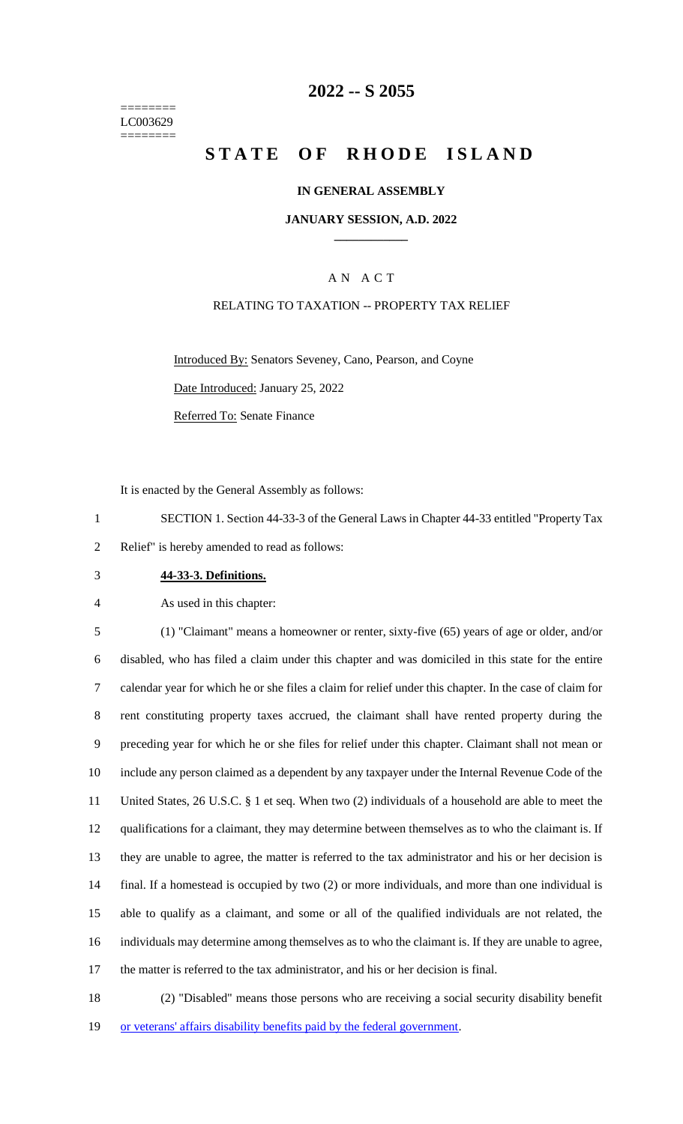======== LC003629 ========

### **2022 -- S 2055**

# **STATE OF RHODE ISLAND**

#### **IN GENERAL ASSEMBLY**

#### **JANUARY SESSION, A.D. 2022 \_\_\_\_\_\_\_\_\_\_\_\_**

### A N A C T

#### RELATING TO TAXATION -- PROPERTY TAX RELIEF

Introduced By: Senators Seveney, Cano, Pearson, and Coyne

Date Introduced: January 25, 2022

Referred To: Senate Finance

It is enacted by the General Assembly as follows:

1 SECTION 1. Section 44-33-3 of the General Laws in Chapter 44-33 entitled "Property Tax 2 Relief" is hereby amended to read as follows:

3 **44-33-3. Definitions.**

4 As used in this chapter:

 (1) "Claimant" means a homeowner or renter, sixty-five (65) years of age or older, and/or disabled, who has filed a claim under this chapter and was domiciled in this state for the entire calendar year for which he or she files a claim for relief under this chapter. In the case of claim for rent constituting property taxes accrued, the claimant shall have rented property during the preceding year for which he or she files for relief under this chapter. Claimant shall not mean or include any person claimed as a dependent by any taxpayer under the Internal Revenue Code of the United States, 26 U.S.C. § 1 et seq. When two (2) individuals of a household are able to meet the qualifications for a claimant, they may determine between themselves as to who the claimant is. If they are unable to agree, the matter is referred to the tax administrator and his or her decision is final. If a homestead is occupied by two (2) or more individuals, and more than one individual is able to qualify as a claimant, and some or all of the qualified individuals are not related, the individuals may determine among themselves as to who the claimant is. If they are unable to agree, the matter is referred to the tax administrator, and his or her decision is final.

18 (2) "Disabled" means those persons who are receiving a social security disability benefit 19 or veterans' affairs disability benefits paid by the federal government.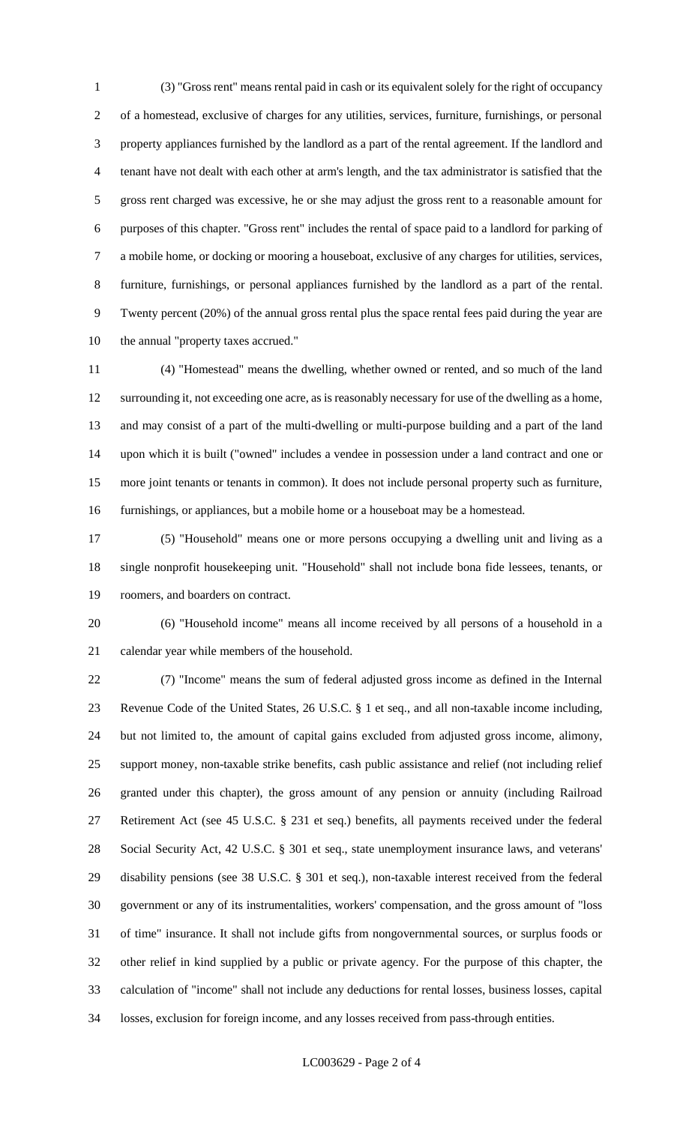(3) "Gross rent" means rental paid in cash or its equivalent solely for the right of occupancy of a homestead, exclusive of charges for any utilities, services, furniture, furnishings, or personal property appliances furnished by the landlord as a part of the rental agreement. If the landlord and tenant have not dealt with each other at arm's length, and the tax administrator is satisfied that the gross rent charged was excessive, he or she may adjust the gross rent to a reasonable amount for purposes of this chapter. "Gross rent" includes the rental of space paid to a landlord for parking of a mobile home, or docking or mooring a houseboat, exclusive of any charges for utilities, services, furniture, furnishings, or personal appliances furnished by the landlord as a part of the rental. Twenty percent (20%) of the annual gross rental plus the space rental fees paid during the year are the annual "property taxes accrued."

 (4) "Homestead" means the dwelling, whether owned or rented, and so much of the land surrounding it, not exceeding one acre, as is reasonably necessary for use of the dwelling as a home, and may consist of a part of the multi-dwelling or multi-purpose building and a part of the land upon which it is built ("owned" includes a vendee in possession under a land contract and one or more joint tenants or tenants in common). It does not include personal property such as furniture, furnishings, or appliances, but a mobile home or a houseboat may be a homestead.

 (5) "Household" means one or more persons occupying a dwelling unit and living as a single nonprofit housekeeping unit. "Household" shall not include bona fide lessees, tenants, or roomers, and boarders on contract.

 (6) "Household income" means all income received by all persons of a household in a calendar year while members of the household.

 (7) "Income" means the sum of federal adjusted gross income as defined in the Internal Revenue Code of the United States, 26 U.S.C. § 1 et seq., and all non-taxable income including, but not limited to, the amount of capital gains excluded from adjusted gross income, alimony, support money, non-taxable strike benefits, cash public assistance and relief (not including relief granted under this chapter), the gross amount of any pension or annuity (including Railroad Retirement Act (see 45 U.S.C. § 231 et seq.) benefits, all payments received under the federal Social Security Act, 42 U.S.C. § 301 et seq., state unemployment insurance laws, and veterans' disability pensions (see 38 U.S.C. § 301 et seq.), non-taxable interest received from the federal government or any of its instrumentalities, workers' compensation, and the gross amount of "loss of time" insurance. It shall not include gifts from nongovernmental sources, or surplus foods or other relief in kind supplied by a public or private agency. For the purpose of this chapter, the calculation of "income" shall not include any deductions for rental losses, business losses, capital losses, exclusion for foreign income, and any losses received from pass-through entities.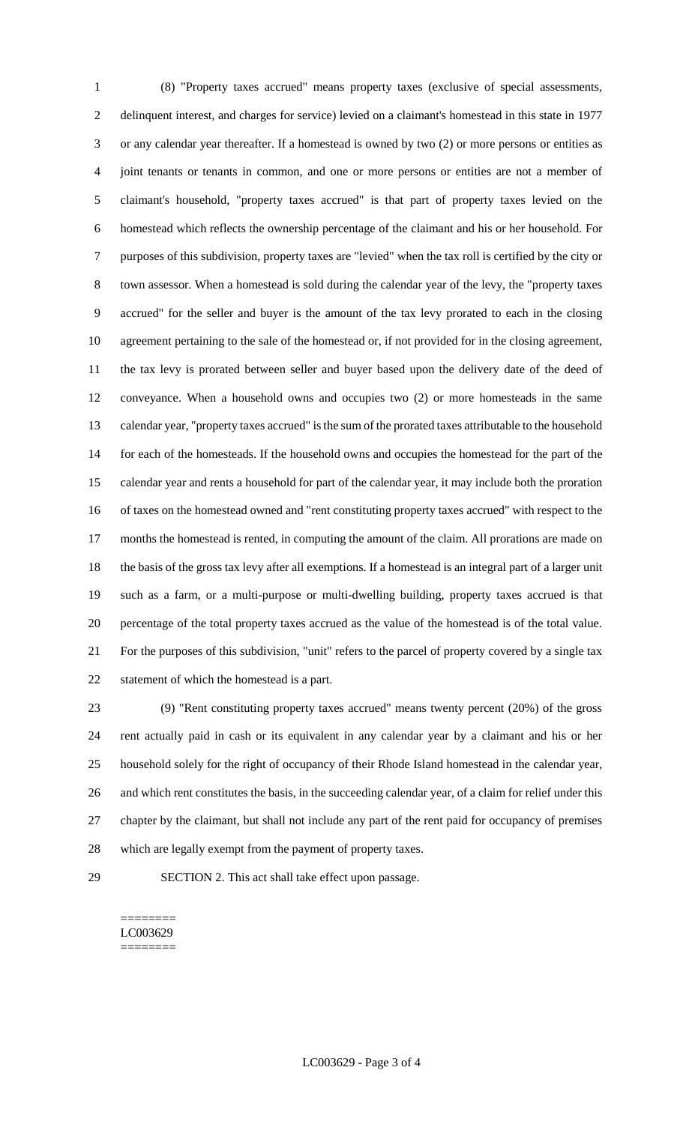(8) "Property taxes accrued" means property taxes (exclusive of special assessments, delinquent interest, and charges for service) levied on a claimant's homestead in this state in 1977 or any calendar year thereafter. If a homestead is owned by two (2) or more persons or entities as joint tenants or tenants in common, and one or more persons or entities are not a member of claimant's household, "property taxes accrued" is that part of property taxes levied on the homestead which reflects the ownership percentage of the claimant and his or her household. For purposes of this subdivision, property taxes are "levied" when the tax roll is certified by the city or town assessor. When a homestead is sold during the calendar year of the levy, the "property taxes accrued" for the seller and buyer is the amount of the tax levy prorated to each in the closing agreement pertaining to the sale of the homestead or, if not provided for in the closing agreement, the tax levy is prorated between seller and buyer based upon the delivery date of the deed of conveyance. When a household owns and occupies two (2) or more homesteads in the same calendar year, "property taxes accrued" is the sum of the prorated taxes attributable to the household for each of the homesteads. If the household owns and occupies the homestead for the part of the calendar year and rents a household for part of the calendar year, it may include both the proration of taxes on the homestead owned and "rent constituting property taxes accrued" with respect to the months the homestead is rented, in computing the amount of the claim. All prorations are made on the basis of the gross tax levy after all exemptions. If a homestead is an integral part of a larger unit such as a farm, or a multi-purpose or multi-dwelling building, property taxes accrued is that percentage of the total property taxes accrued as the value of the homestead is of the total value. For the purposes of this subdivision, "unit" refers to the parcel of property covered by a single tax statement of which the homestead is a part.

 (9) "Rent constituting property taxes accrued" means twenty percent (20%) of the gross rent actually paid in cash or its equivalent in any calendar year by a claimant and his or her household solely for the right of occupancy of their Rhode Island homestead in the calendar year, and which rent constitutes the basis, in the succeeding calendar year, of a claim for relief under this chapter by the claimant, but shall not include any part of the rent paid for occupancy of premises which are legally exempt from the payment of property taxes.

SECTION 2. This act shall take effect upon passage.

#### ======== LC003629 ========